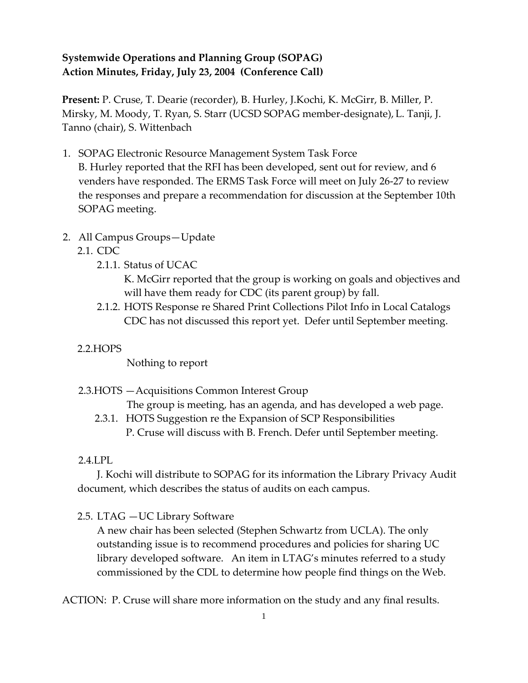## **Systemwide Operations and Planning Group (SOPAG) Action Minutes, Friday, July 23, 2004 (Conference Call)**

**Present:** P. Cruse, T. Dearie (recorder), B. Hurley, J.Kochi, K. McGirr, B. Miller, P. Mirsky, M. Moody, T. Ryan, S. Starr (UCSD SOPAG member-designate), L. Tanji, J. Tanno (chair), S. Wittenbach

- 1. SOPAG Electronic Resource Management System Task Force B. Hurley reported that the RFI has been developed, sent out for review, and 6 venders have responded. The ERMS Task Force will meet on July 26-27 to review the responses and prepare a recommendation for discussion at the September 10th SOPAG meeting.
- 2. All Campus Groups—Update
	- 2.1. CDC
		- 2.1.1. Status of UCAC

K. McGirr reported that the group is working on goals and objectives and will have them ready for CDC (its parent group) by fall.

- 2.1.2. HOTS Response re Shared Print Collections Pilot Info in Local Catalogs CDC has not discussed this report yet. Defer until September meeting.
- 2.2.HOPS

Nothing to report

2.3.HOTS —Acquisitions Common Interest Group

The group is meeting, has an agenda, and has developed a web page.

2.3.1. HOTS Suggestion re the Expansion of SCP Responsibilities P. Cruse will discuss with B. French. Defer until September meeting.

### 2.4.LPL

J. Kochi will distribute to SOPAG for its information the Library Privacy Audit document, which describes the status of audits on each campus.

2.5. LTAG —UC Library Software

A new chair has been selected (Stephen Schwartz from UCLA). The only outstanding issue is to recommend procedures and policies for sharing UC library developed software. An item in LTAG's minutes referred to a study commissioned by the CDL to determine how people find things on the Web.

ACTION: P. Cruse will share more information on the study and any final results.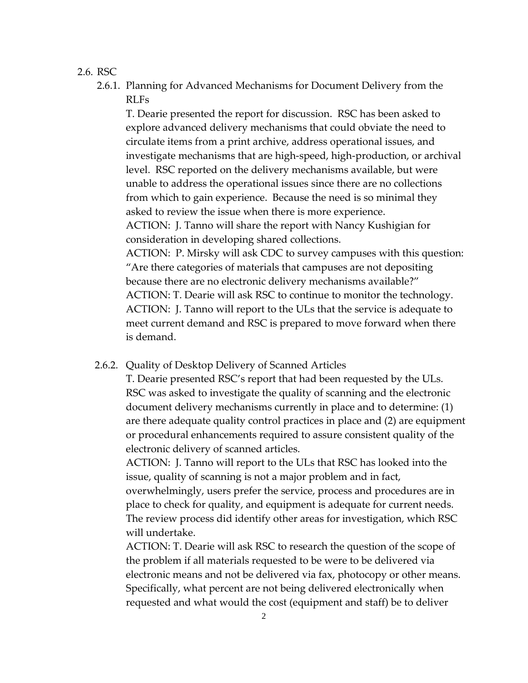#### 2.6. RSC

2.6.1. Planning for Advanced Mechanisms for Document Delivery from the RLFs

T. Dearie presented the report for discussion. RSC has been asked to explore advanced delivery mechanisms that could obviate the need to circulate items from a print archive, address operational issues, and investigate mechanisms that are high-speed, high-production, or archival level. RSC reported on the delivery mechanisms available, but were unable to address the operational issues since there are no collections from which to gain experience. Because the need is so minimal they asked to review the issue when there is more experience. ACTION: J. Tanno will share the report with Nancy Kushigian for consideration in developing shared collections. ACTION: P. Mirsky will ask CDC to survey campuses with this question: "Are there categories of materials that campuses are not depositing because there are no electronic delivery mechanisms available?" ACTION: T. Dearie will ask RSC to continue to monitor the technology. ACTION: J. Tanno will report to the ULs that the service is adequate to meet current demand and RSC is prepared to move forward when there

#### 2.6.2. Quality of Desktop Delivery of Scanned Articles

is demand.

T. Dearie presented RSC's report that had been requested by the ULs. RSC was asked to investigate the quality of scanning and the electronic document delivery mechanisms currently in place and to determine: (1) are there adequate quality control practices in place and (2) are equipment or procedural enhancements required to assure consistent quality of the electronic delivery of scanned articles.

ACTION: J. Tanno will report to the ULs that RSC has looked into the issue, quality of scanning is not a major problem and in fact, overwhelmingly, users prefer the service, process and procedures are in place to check for quality, and equipment is adequate for current needs. The review process did identify other areas for investigation, which RSC will undertake.

ACTION: T. Dearie will ask RSC to research the question of the scope of the problem if all materials requested to be were to be delivered via electronic means and not be delivered via fax, photocopy or other means. Specifically, what percent are not being delivered electronically when requested and what would the cost (equipment and staff) be to deliver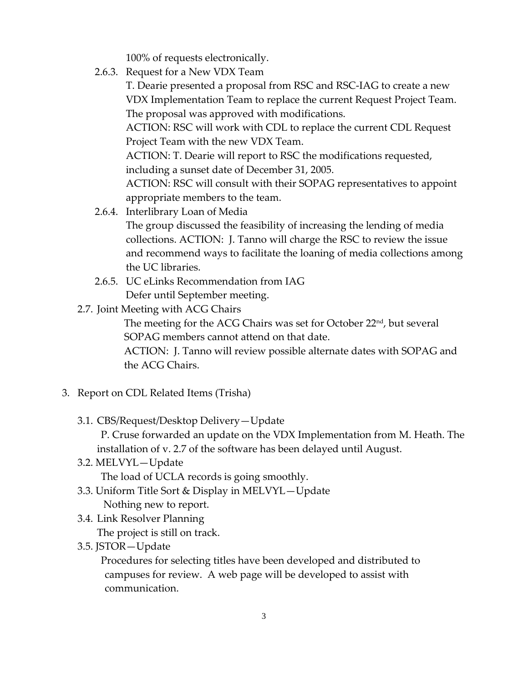100% of requests electronically.

2.6.3. Request for a New VDX Team

T. Dearie presented a proposal from RSC and RSC-IAG to create a new VDX Implementation Team to replace the current Request Project Team. The proposal was approved with modifications.

ACTION: RSC will work with CDL to replace the current CDL Request Project Team with the new VDX Team.

ACTION: T. Dearie will report to RSC the modifications requested, including a sunset date of December 31, 2005.

ACTION: RSC will consult with their SOPAG representatives to appoint appropriate members to the team.

2.6.4. Interlibrary Loan of Media

The group discussed the feasibility of increasing the lending of media collections. ACTION: J. Tanno will charge the RSC to review the issue and recommend ways to facilitate the loaning of media collections among the UC libraries.

- 2.6.5. UC eLinks Recommendation from IAG Defer until September meeting.
- 2.7. Joint Meeting with ACG Chairs

The meeting for the ACG Chairs was set for October 22<sup>nd</sup>, but several SOPAG members cannot attend on that date.

ACTION: J. Tanno will review possible alternate dates with SOPAG and the ACG Chairs.

- 3. Report on CDL Related Items (Trisha)
	- 3.1. CBS/Request/Desktop Delivery—Update

P. Cruse forwarded an update on the VDX Implementation from M. Heath. The installation of v. 2.7 of the software has been delayed until August.

3.2. MELVYL—Update

The load of UCLA records is going smoothly.

- 3.3. Uniform Title Sort & Display in MELVYL—Update Nothing new to report.
- 3.4. Link Resolver Planning

The project is still on track.

3.5. JSTOR—Update

Procedures for selecting titles have been developed and distributed to campuses for review. A web page will be developed to assist with communication.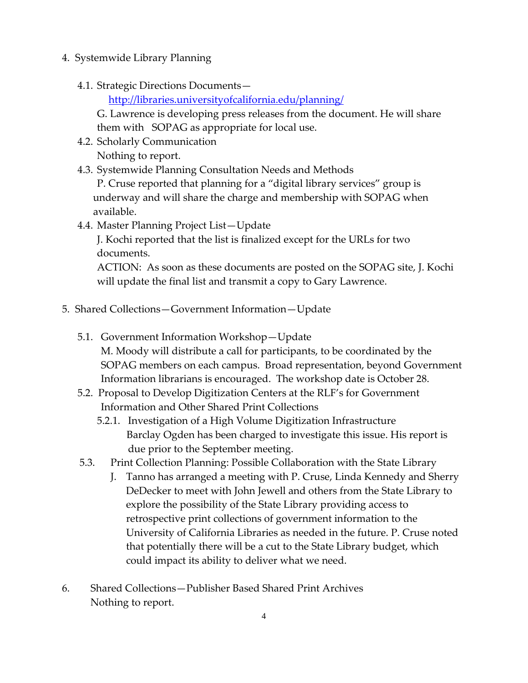- 4. Systemwide Library Planning
	- 4.1. Strategic Directions Documents—

<http://libraries.universityofcalifornia.edu/planning/>

G. Lawrence is developing press releases from the document. He will share them with SOPAG as appropriate for local use.

4.2. Scholarly Communication Nothing to report.

4.3. Systemwide Planning Consultation Needs and Methods

P. Cruse reported that planning for a "digital library services" group is underway and will share the charge and membership with SOPAG when available.

4.4. Master Planning Project List—Update

J. Kochi reported that the list is finalized except for the URLs for two documents.

ACTION: As soon as these documents are posted on the SOPAG site, J. Kochi will update the final list and transmit a copy to Gary Lawrence.

- 5. Shared Collections—Government Information—Update
	- 5.1. Government Information Workshop—Update M. Moody will distribute a call for participants, to be coordinated by the SOPAG members on each campus. Broad representation, beyond Government Information librarians is encouraged. The workshop date is October 28.
	- 5.2. Proposal to Develop Digitization Centers at the RLF's for Government Information and Other Shared Print Collections
		- 5.2.1. Investigation of a High Volume Digitization Infrastructure Barclay Ogden has been charged to investigate this issue. His report is due prior to the September meeting.
	- 5.3. Print Collection Planning: Possible Collaboration with the State Library
		- J. Tanno has arranged a meeting with P. Cruse, Linda Kennedy and Sherry DeDecker to meet with John Jewell and others from the State Library to explore the possibility of the State Library providing access to retrospective print collections of government information to the University of California Libraries as needed in the future. P. Cruse noted that potentially there will be a cut to the State Library budget, which could impact its ability to deliver what we need.
- 6. Shared Collections—Publisher Based Shared Print Archives Nothing to report.